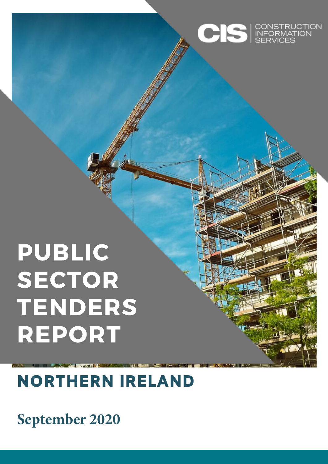

# PUBLIC SECTOR TENDERS REPORT

# NORTHERN IRELAND

**September 2020**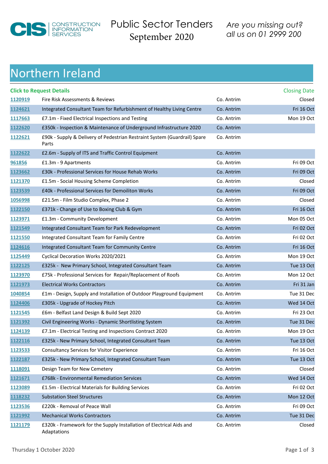

Public Sector Tenders September 2020

### Northern Ireland

|                 | <b>Click to Request Details</b>                                                     |            | <b>Closing Date</b> |
|-----------------|-------------------------------------------------------------------------------------|------------|---------------------|
| 1120919         | Fire Risk Assessments & Reviews                                                     | Co. Antrim | Closed              |
| 1124621         | Integrated Consultant Team for Refurbishment of Healthy Living Centre               | Co. Antrim | Fri 16 Oct          |
| 1117663         | £7.1m - Fixed Electrical Inspections and Testing                                    | Co. Antrim | Mon 19 Oct          |
| 1122620         | £350k - Inspection & Maintenance of Underground Infrastructure 2020                 | Co. Antrim |                     |
| 1122621         | £90k - Supply & Delivery of Pedestrian Restraint System (Guardrail) Spare<br>Parts  | Co. Antrim |                     |
| 1122622         | £2.6m - Supply of ITS and Traffic Control Equipment                                 | Co. Antrim |                     |
| 961856          | £1.3m - 9 Apartments                                                                | Co. Antrim | Fri 09 Oct          |
| 1123662         | £30k - Professional Services for House Rehab Works                                  | Co. Antrim | Fri 09 Oct          |
| 1121370         | £1.5m - Social Housing Scheme Completion                                            | Co. Antrim | Closed              |
| 1123539         | £40k - Professional Services for Demoiliton Works                                   | Co. Antrim | Fri 09 Oct          |
| 1056998         | £21.5m - Film Studio Complex, Phase 2                                               | Co. Antrim | Closed              |
| 1122150         | £371k - Change of Use to Boxing Club & Gym                                          | Co. Antrim | Fri 16 Oct          |
| 1123971         | £1.3m - Community Development                                                       | Co. Antrim | Mon 05 Oct          |
| 1121549         | Integrated Consultant Team for Park Redevelopment                                   | Co. Antrim | Fri 02 Oct          |
| 1121550         | Integrated Consultant Team for Family Centre                                        | Co. Antrim | Fri 02 Oct          |
| 1124616         | Integrated Consultant Team for Community Centre                                     | Co. Antrim | Fri 16 Oct          |
| 1125449         | Cyclical Decoration Works 2020/2021                                                 | Co. Antrim | Mon 19 Oct          |
| 1122125         | £325k - New Primary School, Integrated Consultant Team                              | Co. Antrim | Tue 13 Oct          |
| 1123970         | £75k - Professional Services for Repair/Replacement of Roofs                        | Co. Antrim | Mon 12 Oct          |
| 1121973         | <b>Electrical Works Contractors</b>                                                 | Co. Antrim | Fri 31 Jan          |
| 1040854         | £1m - Design, Supply and Installation of Outdoor Playground Equipment               | Co. Antrim | Tue 31 Dec          |
| 1124406         | £305k - Upgrade of Hockey Pitch                                                     | Co. Antrim | Wed 14 Oct          |
| 1121545         | £6m - Belfast Land Design & Build Sept 2020                                         | Co. Antrim | Fri 23 Oct          |
| 1121392         | Civil Engineering Works - Dynamic Shortlisting System                               | Co. Antrim | Tue 31 Dec          |
| <u> 1124139</u> | £7.1m - Electrical Testing and Inspections Contract 2020                            | Co. Antrim | Mon 19 Oct          |
| 1122116         | £325k - New Primary School, Integrated Consultant Team                              | Co. Antrim | Tue 13 Oct          |
| 1123533         | <b>Consultancy Services for Visitor Experience</b>                                  | Co. Antrim | Fri 16 Oct          |
| 1122187         | £325k - New Primary School, Integrated Consultant Team                              | Co. Antrim | Tue 13 Oct          |
| 1118091         | Design Team for New Cemetery                                                        | Co. Antrim | Closed              |
| 1121671         | £768k - Environmental Remediation Services                                          | Co. Antrim | Wed 14 Oct          |
| 1123089         | £1.5m - Electrical Materials for Building Services                                  | Co. Antrim | Fri 02 Oct          |
| 1118232         | <b>Substation Steel Structures</b>                                                  | Co. Antrim | Mon 12 Oct          |
| 1123536         | £220k - Removal of Peace Wall                                                       | Co. Antrim | Fri 09 Oct          |
| 1121992         | <b>Mechanical Works Contractors</b>                                                 | Co. Antrim | Tue 31 Dec          |
| 1121179         | £320k - Framework for the Supply Installation of Electrical Aids and<br>Adaptations | Co. Antrim | Closed              |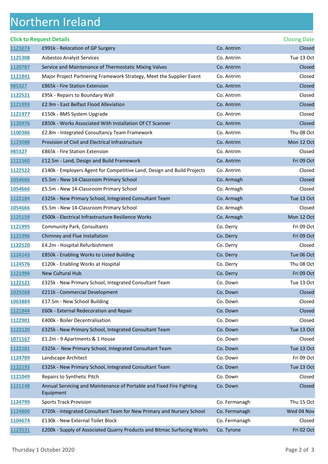## Northern Ireland

|                | <b>Click to Request Details</b>                                                   |               | <b>Closing Date</b> |
|----------------|-----------------------------------------------------------------------------------|---------------|---------------------|
| 1123074        | £991k - Relocation of GP Surgery                                                  | Co. Antrim    | Closed              |
| 1125308        | <b>Asbestos Analyst Services</b>                                                  | Co. Antrim    | Tue 13 Oct          |
| 1120787        | Service and Maintenance of Thermostatic Mixing Valves                             | Co. Antrim    | Closed              |
| 1121841        | Major Project Partnering Framework Strategy, Meet the Supplier Event              | Co. Antrim    | Closed              |
| 985327         | £865k - Fire Station Extension                                                    | Co. Antrim    | Closed              |
| 1122521        | £95k - Repairs to Boundary Wall                                                   | Co. Antrim    | Closed              |
| 1121993        | £2.9m - East Belfast Flood Alleviation                                            | Co. Antrim    | Closed              |
| 1121977        | £150k - BMS System Upgrade                                                        | Co. Antrim    | Closed              |
| 1120976        | £850k - Works Associated With Installation Of CT Scanner                          | Co. Antrim    | Closed              |
| 1100386        | £2.8m - Integrated Consultancy Team Framework                                     | Co. Antrim    | Thu 08 Oct          |
| 1123088        | Provision of Civil and Electrical Infrastructure                                  | Co. Antrim    | Mon 12 Oct          |
| 985327         | £865k - Fire Station Extension                                                    | Co. Antrim    | Closed              |
| 1121560        | £12.5m - Land, Design and Build Framework                                         | Co. Antrim    | Fri 09 Oct          |
| 1122522        | £140k - Employers Agent for Competitive Land, Design and Build Projects           | Co. Antrim    | Closed              |
| 1054666        | £5.5m - New 14-Classroom Primary School                                           | Co. Armagh    | Closed              |
| 1054666        | £5.5m - New 14-Classroom Primary School                                           | Co. Armagh    | Closed              |
| 1122184        | £325k - New Primary School, Integrated Consultant Team                            | Co. Armagh    | Tue 13 Oct          |
| 1054666        | £5.5m - New 14-Classroom Primary School                                           | Co. Armagh    | Closed              |
| <u>1125159</u> | £500k - Electrical Infrastructure Resilience Works                                | Co. Armagh    | Mon 12 Oct          |
| 1121995        | <b>Community Park, Consultants</b>                                                | Co. Derry     | Fri 09 Oct          |
| 1121996        | Chimney and Flue Installation                                                     | Co. Derry     | Fri 09 Oct          |
| 1122520        | £4.2m - Hospital Refurbishment                                                    | Co. Derry     | Closed              |
| 1124143        | £850k - Enabling Works to Listed Building                                         | Co. Derry     | Tue 06 Oct          |
| 1124576        | £120k - Enabling Works at Hospital                                                | Co. Derry     | Thu 08 Oct          |
| 1121994        | New Cultural Hub                                                                  | Co. Derry     | Fri 09 Oct          |
| 1122121        | £325k - New Primary School, Integrated Consultant Team                            | Co. Down      | Tue 13 Oct          |
| 1029268        | £211k - Commercial Development                                                    | Co. Down      | Closed              |
| 1063884        | £17.5m - New School Building                                                      | Co. Down      | Closed              |
| 1121844        | £60k - External Redecoration and Repair                                           | Co. Down      | Closed              |
| 1122901        | £400k - Boiler Decentralisation                                                   | Co. Down      | Closed              |
| 1122120        | £325k - New Primary School, Integrated Consultant Team                            | Co. Down      | Tue 13 Oct          |
| 1071167        | £1.2m - 9 Apartments & 1 House                                                    | Co. Down      | Closed              |
| 1122181        | £325k - New Primary School, Integrated Consultant Team                            | Co. Down      | Tue 13 Oct          |
| 1124789        | Landscape Architect                                                               | Co. Down      | Fri 09 Oct          |
| 1122193        | £325k - New Primary School, Integrated Consultant Team                            | Co. Down      | Tue 13 Oct          |
| 1121049        | Repairs to Synthetic Pitch                                                        | Co. Down      | Closed              |
| 1121148        | Annual Servicing and Maintenance of Portable and Fixed Fire Fighting<br>Equipment | Co. Down      | Closed              |
| <u>1124799</u> | <b>Sports Track Provision</b>                                                     | Co. Fermanagh | Thu 15 Oct          |
| 1124800        | £720k - Integrated Consultant Team for New Primary and Nursery School             | Co. Fermanagh | Wed 04 Nov          |
| 1104674        | £130k - New External Toilet Block                                                 | Co. Fermanagh | Closed              |
| 1123531        | £200k - Supply of Associated Quarry Products and Bitmac Surfacing Works           | Co. Tyrone    | Fri 02 Oct          |